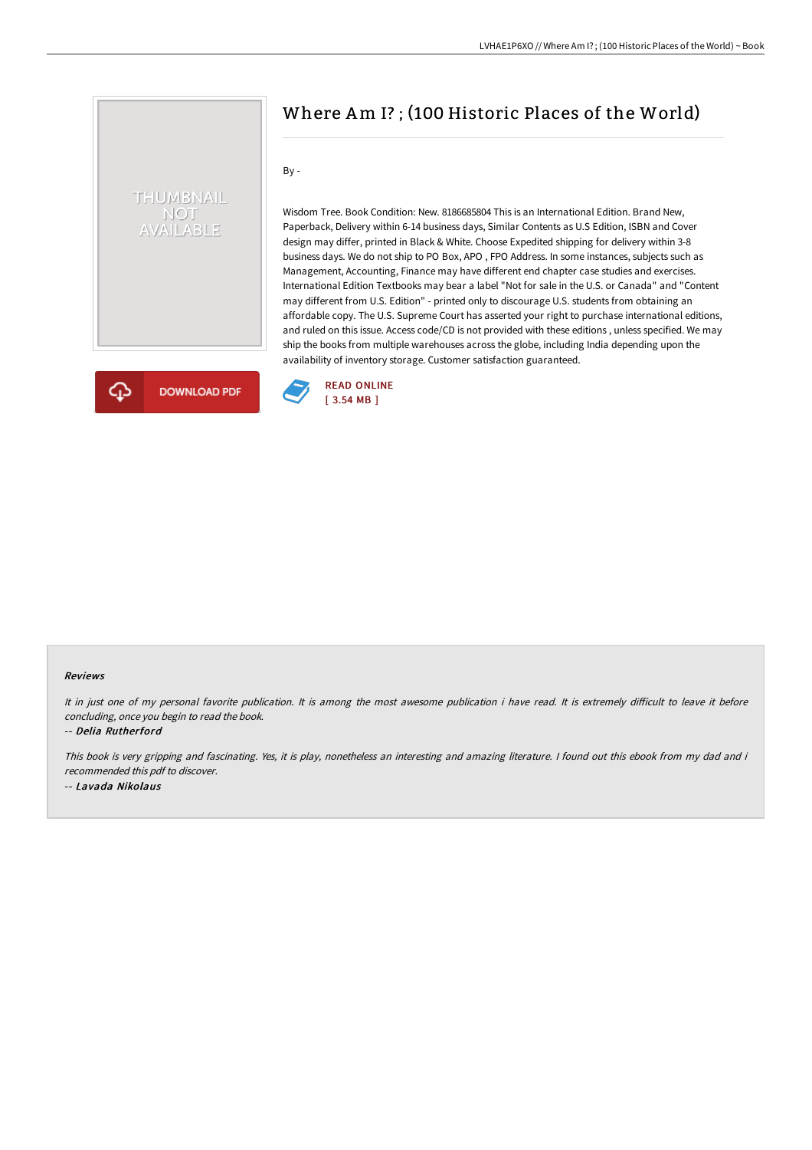## THUMBNAIL NOT<br>AVAILABLE

Where Am I? ; (100 Historic Places of the World)

By -

Wisdom Tree. Book Condition: New. 8186685804 This is an International Edition. Brand New, Paperback, Delivery within 6-14 business days, Similar Contents as U.S Edition, ISBN and Cover design may differ, printed in Black & White. Choose Expedited shipping for delivery within 3-8 business days. We do not ship to PO Box, APO , FPO Address. In some instances, subjects such as Management, Accounting, Finance may have different end chapter case studies and exercises. International Edition Textbooks may bear a label "Not for sale in the U.S. or Canada" and "Content may different from U.S. Edition" - printed only to discourage U.S. students from obtaining an affordable copy. The U.S. Supreme Court has asserted your right to purchase international editions, and ruled on this issue. Access code/CD is not provided with these editions , unless specified. We may ship the books from multiple warehouses across the globe, including India depending upon the availability of inventory storage. Customer satisfaction guaranteed.



## Reviews

It in just one of my personal favorite publication. It is among the most awesome publication i have read. It is extremely difficult to leave it before concluding, once you begin to read the book.

-- Delia Rutherford

This book is very gripping and fascinating. Yes, it is play, nonetheless an interesting and amazing literature. <sup>I</sup> found out this ebook from my dad and i recommended this pdf to discover. -- Lavada Nikolaus